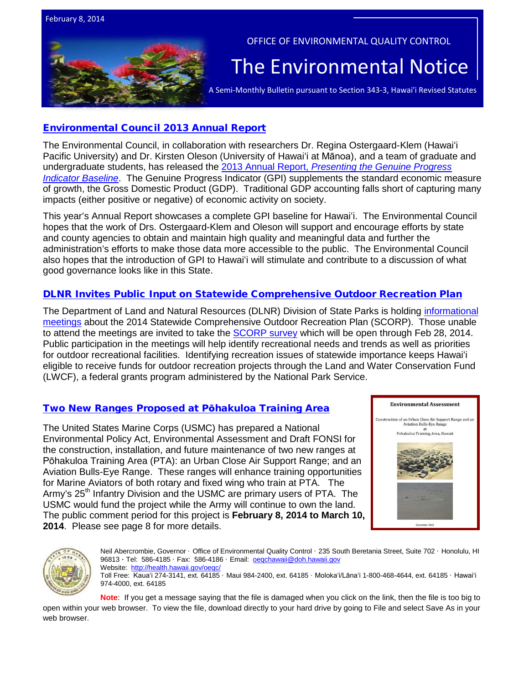



#### OFFICE OF ENVIRONMENTAL QUALITY CONTROL

# The Environmental Notice  $|$ <br>A Semi-Monthly Bulletin pursuant to Section 343-3, Hawai'i Revised Statutes

# [Environmental Council 2013 Annual Report](http://oeqc.doh.hawaii.gov/Shared%20Documents/Environmental_Council/Annual_Reports/2013-Annual-Report.pdf)

The Environmental Council, in collaboration with researchers Dr. Regina Ostergaard-Klem (Hawaiʻi Pacific University) and Dr. Kirsten Oleson (University of Hawaiʻi at Mānoa), and a team of graduate and undergraduate students, has released the 2013 Annual Report, *[Presenting the Genuine Progress](http://oeqc.doh.hawaii.gov/Shared%20Documents/Environmental_Council/Annual_Reports/2013-Annual-Report.pdf)  [Indicator Baseline](http://oeqc.doh.hawaii.gov/Shared%20Documents/Environmental_Council/Annual_Reports/2013-Annual-Report.pdf)*. The Genuine Progress Indicator (GPI) supplements the standard economic measure of growth, the Gross Domestic Product (GDP). Traditional GDP accounting falls short of capturing many impacts (either positive or negative) of economic activity on society.

This year's Annual Report showcases a complete GPI baseline for Hawaiʻi. The Environmental Council hopes that the work of Drs. Ostergaard-Klem and Oleson will support and encourage efforts by state and county agencies to obtain and maintain high quality and meaningful data and further the administration's efforts to make those data more accessible to the public. The Environmental Council also hopes that the introduction of GPI to Hawaiʻi will stimulate and contribute to a discussion of what good governance looks like in this State.

# [DLNR Invites Public Input on Statewide Comprehensive Outdoor Recreation Plan](http://dlnr.hawaii.gov/blog/2014/01/30/nr14-019/)

The Department of Land and Natural Resources (DLNR) Division of State Parks is holding [informational](http://dlnr.hawaii.gov/blog/2014/01/30/nr14-019/)  [meetings](http://dlnr.hawaii.gov/blog/2014/01/30/nr14-019/) about the 2014 Statewide Comprehensive Outdoor Recreation Plan (SCORP). Those unable to attend the meetings are invited to take the [SCORP survey](https://www.surveymonkey.com/s/HISCORP2014) which will be open through Feb 28, 2014. Public participation in the meetings will help identify recreational needs and trends as well as priorities for outdoor recreational facilities. Identifying recreation issues of statewide importance keeps Hawaiʻi eligible to receive funds for outdoor recreation projects through the Land and Water Conservation Fund (LWCF), a federal grants program administered by the National Park Service.

# [Two New Ranges Proposed at P](http://www.mcbhawaii.marines.mil/Portals/114/WebDocuments/UCAS/UCAS_EA%202013_Dec.pdf)ōhakuloa Training Area

The United States Marine Corps (USMC) has prepared a National Environmental Policy Act, Environmental Assessment and Draft FONSI for the construction, installation, and future maintenance of two new ranges at Pōhakuloa Training Area (PTA): an Urban Close Air Support Range; and an Aviation Bulls-Eye Range. These ranges will enhance training opportunities for Marine Aviators of both rotary and fixed wing who train at PTA. The Army's 25<sup>th</sup> Infantry Division and the USMC are primary users of PTA. The USMC would fund the project while the Army will continue to own the land. The public comment period for this project is **February 8, 2014 to March 10, 2014**. Please see page 8 for more details.





Neil Abercrombie, Governor · Office of Environmental Quality Control · 235 South Beretania Street, Suite 702 · Honolulu, HI 96813 · Tel: 586-4185 · Fax: 586-4186 · Email: oegchawaii@doh.hawaii.gov Website: http://health.hawaii.gov/oeqc Toll Free: Kauaʻi 274-3141, ext. 64185 · Maui 984-2400, ext. 64185 · Molokaʻi/Lānaʻi 1-800-468-4644, ext. 64185 · Hawaiʻi 974-4000, ext. 64185

**Note**: If you get a message saying that the file is damaged when you click on the link, then the file is too big to open within your web browser. To view the file, download directly to your hard drive by going to File and select Save As in your web browser.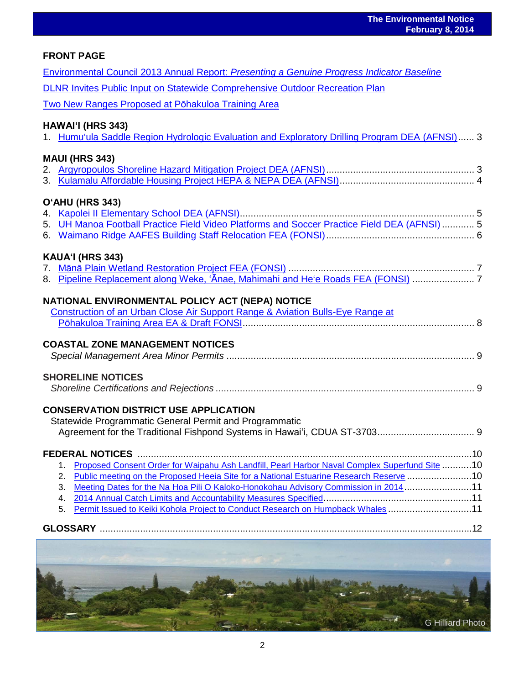| <b>The Environmental Notice</b><br><b>February 8, 2014</b>                                                                 |  |
|----------------------------------------------------------------------------------------------------------------------------|--|
| <b>FRONT PAGE</b>                                                                                                          |  |
| Environmental Council 2013 Annual Report: Presenting a Genuine Progress Indicator Baseline                                 |  |
| DLNR Invites Public Input on Statewide Comprehensive Outdoor Recreation Plan                                               |  |
| Two New Ranges Proposed at Pōhakuloa Training Area                                                                         |  |
| <b>HAWAI'I (HRS 343)</b><br>1. Humu'ula Saddle Region Hydrologic Evaluation and Exploratory Drilling Program DEA (AFNSI) 3 |  |
| <b>MAUI (HRS 343)</b>                                                                                                      |  |
|                                                                                                                            |  |
|                                                                                                                            |  |
| O'AHU (HRS 343)                                                                                                            |  |
|                                                                                                                            |  |
| 5. UH Manoa Football Practice Field Video Platforms and Soccer Practice Field DEA (AFNSI)  5                               |  |
|                                                                                                                            |  |
| KAUA'I (HRS 343)                                                                                                           |  |
| 8. Pipeline Replacement along Weke, 'Anae, Mahimahi and He'e Roads FEA (FONSI)                                             |  |
|                                                                                                                            |  |
| NATIONAL ENVIRONMENTAL POLICY ACT (NEPA) NOTICE                                                                            |  |
| Construction of an Urban Close Air Support Range & Aviation Bulls-Eye Range at                                             |  |
|                                                                                                                            |  |
| <b>COASTAL ZONE MANAGEMENT NOTICES</b>                                                                                     |  |
|                                                                                                                            |  |
| <b>SHORELINE NOTICES</b>                                                                                                   |  |
|                                                                                                                            |  |
| <b>CONSERVATION DISTRICT USE APPLICATION</b>                                                                               |  |
| Statewide Programmatic General Permit and Programmatic                                                                     |  |
|                                                                                                                            |  |
| <b>FEDERAL NOTICES</b>                                                                                                     |  |
| Proposed Consent Order for Waipahu Ash Landfill, Pearl Harbor Naval Complex Superfund Site 10<br>1.                        |  |
| Public meeting on the Proposed Heeia Site for a National Estuarine Research Reserve 10<br>2.                               |  |
| Meeting Dates for the Na Hoa Pili O Kaloko-Honokohau Advisory Commission in 201411<br>3.                                   |  |
| 4.<br>Permit Issued to Keiki Kohola Project to Conduct Research on Humpback Whales 11<br>5.                                |  |
|                                                                                                                            |  |
|                                                                                                                            |  |
|                                                                                                                            |  |
|                                                                                                                            |  |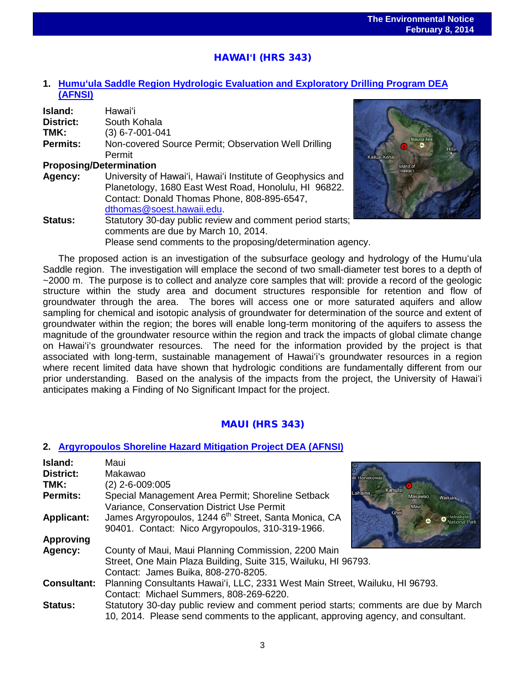# HAWAI**ʻ**I (HRS 343)

# **1. Humuʻ[ula Saddle Region Hydrologic Evaluation and Exploratory Drilling Program](http://oeqc.doh.hawaii.gov/Shared%20Documents/EA_and_EIS_Online_Library/Hawaii/2010s/2014-02-08-HA-5B-DEA-Humuula-Saddle-Region-Hydrologic-Evaluation-and-Exploratory-Drilling-Project.pdf) DEA [\(AFNSI\)](http://oeqc.doh.hawaii.gov/Shared%20Documents/EA_and_EIS_Online_Library/Hawaii/2010s/2014-02-08-HA-5B-DEA-Humuula-Saddle-Region-Hydrologic-Evaluation-and-Exploratory-Drilling-Project.pdf)**

Please send comments to the proposing/determination agency.

| <b>Island:</b>                 | Hawaiʻi                                                    |
|--------------------------------|------------------------------------------------------------|
| District:                      | South Kohala                                               |
| TMK:                           | $(3) 6 - 7 - 001 - 041$                                    |
| <b>Permits:</b>                | Non-covered Source Permit; Observation Well Drilling       |
|                                | Permit                                                     |
| <b>Proposing/Determination</b> |                                                            |
| Agency:                        | University of Hawai'i, Hawai'i Institute of Geophysics and |
|                                | Planetology, 1680 East West Road, Honolulu, HI 96822.      |
|                                | Contact: Donald Thomas Phone, 808-895-6547,                |
|                                | dthomas@soest.hawaii.edu.                                  |
| Status:                        | Statutory 30-day public review and comment period starts;  |

comments are due by March 10, 2014.



The proposed action is an investigation of the subsurface geology and hydrology of the Humuʻula Saddle region. The investigation will emplace the second of two small-diameter test bores to a depth of ~2000 m. The purpose is to collect and analyze core samples that will: provide a record of the geologic structure within the study area and document structures responsible for retention and flow of groundwater through the area. The bores will access one or more saturated aquifers and allow sampling for chemical and isotopic analysis of groundwater for determination of the source and extent of groundwater within the region; the bores will enable long-term monitoring of the aquifers to assess the magnitude of the groundwater resource within the region and track the impacts of global climate change on Hawaiʻi's groundwater resources. The need for the information provided by the project is that associated with long-term, sustainable management of Hawaiʻi's groundwater resources in a region where recent limited data have shown that hydrologic conditions are fundamentally different from our prior understanding. Based on the analysis of the impacts from the project, the University of Hawaiʻi anticipates making a Finding of No Significant Impact for the project.

# MAUI (HRS 343)

#### **2. [Argyropoulos Shoreline Hazard Mitigation Project DEA \(AFNSI\)](http://oeqc.doh.hawaii.gov/Shared%20Documents/EA_and_EIS_Online_Library/Maui/2010s/2014-02-08-MA-5E-DEA-Argyropoulos-Shoreline-Hazard-Mitigation-Project.pdf)**

| Island:            | Maui                                                                                |  |  |
|--------------------|-------------------------------------------------------------------------------------|--|--|
| <b>District:</b>   | Makawao<br>li-Honokowai                                                             |  |  |
| TMK:               | $(2)$ 2-6-009:005<br>Kahului                                                        |  |  |
| <b>Permits:</b>    | Lahaina<br>Special Management Area Permit; Shoreline Setback<br>Makawao<br>Wailua   |  |  |
|                    | Variance, Conservation District Use Permit<br>Maui                                  |  |  |
| <b>Applicant:</b>  | Kihei<br>James Argyropoulos, 1244 6 <sup>th</sup> Street, Santa Monica, CA          |  |  |
|                    | 90401. Contact: Nico Argyropoulos, 310-319-1966.                                    |  |  |
| <b>Approving</b>   |                                                                                     |  |  |
| Agency:            | County of Maui, Maui Planning Commission, 2200 Main                                 |  |  |
|                    | Street, One Main Plaza Building, Suite 315, Wailuku, HI 96793.                      |  |  |
|                    | Contact: James Buika, 808-270-8205.                                                 |  |  |
| <b>Consultant:</b> | Planning Consultants Hawai'i, LLC, 2331 West Main Street, Wailuku, HI 96793.        |  |  |
|                    | Contact: Michael Summers, 808-269-6220.                                             |  |  |
| <b>Status:</b>     | Statutory 30-day public review and comment period starts; comments are due by March |  |  |
|                    | 10, 2014. Please send comments to the applicant, approving agency, and consultant.  |  |  |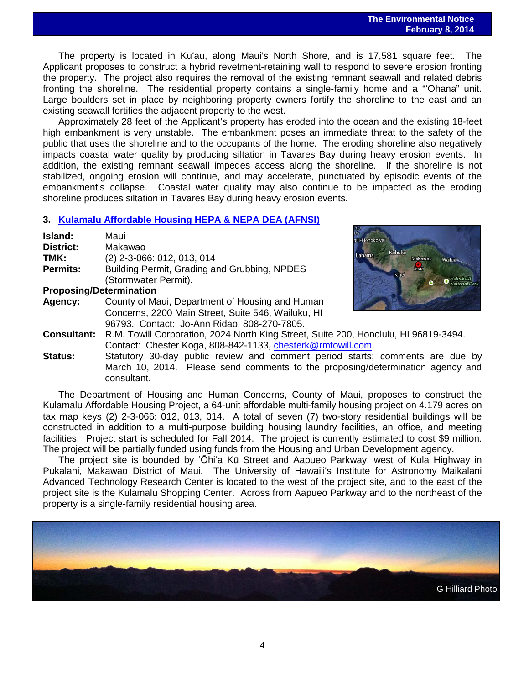The property is located in Kūʻau, along Maui's North Shore, and is 17,581 square feet. The Applicant proposes to construct a hybrid revetment-retaining wall to respond to severe erosion fronting the property. The project also requires the removal of the existing remnant seawall and related debris fronting the shoreline. The residential property contains a single-family home and a "ʻOhana" unit. Large boulders set in place by neighboring property owners fortify the shoreline to the east and an existing seawall fortifies the adjacent property to the west.

Approximately 28 feet of the Applicant's property has eroded into the ocean and the existing 18-feet high embankment is very unstable. The embankment poses an immediate threat to the safety of the public that uses the shoreline and to the occupants of the home. The eroding shoreline also negatively impacts coastal water quality by producing siltation in Tavares Bay during heavy erosion events. In addition, the existing remnant seawall impedes access along the shoreline. If the shoreline is not stabilized, ongoing erosion will continue, and may accelerate, punctuated by episodic events of the embankment's collapse. Coastal water quality may also continue to be impacted as the eroding shoreline produces siltation in Tavares Bay during heavy erosion events.

#### **3. [Kulamalu Affordable Housing](http://oeqc.doh.hawaii.gov/Shared%20Documents/EA_and_EIS_Online_Library/Maui/2010s/2014-02-08-MA-5B-DEA-Kulamalu-Affordable-Housing-Project.pdf) HEPA & NEPA DEA (AFNSI)**

| Island:                        | Maui                                            |
|--------------------------------|-------------------------------------------------|
| <b>District:</b>               | Makawao                                         |
| TMK:                           | (2) 2-3-066: 012, 013, 014                      |
| <b>Permits:</b>                | Building Permit, Grading and Grubbing, NPDES    |
|                                | (Stormwater Permit).                            |
| <b>Proposing/Determination</b> |                                                 |
| Agency:                        | County of Maui, Department of Housing and Human |



**Consultant:** R.M. Towill Corporation, 2024 North King Street, Suite 200, Honolulu, HI 96819-3494. Contact: Chester Koga, 808-842-1133, [chesterk@rmtowill.com.](mailto:chesterk@rmtowill.com)

Concerns, 2200 Main Street, Suite 546, Wailuku, HI 96793. Contact: Jo-Ann Ridao, 808-270-7805.

**Status:** Statutory 30-day public review and comment period starts; comments are due by March 10, 2014. Please send comments to the proposing/determination agency and consultant.

The Department of Housing and Human Concerns, County of Maui, proposes to construct the Kulamalu Affordable Housing Project, a 64-unit affordable multi-family housing project on 4.179 acres on tax map keys (2) 2-3-066: 012, 013, 014. A total of seven (7) two-story residential buildings will be constructed in addition to a multi-purpose building housing laundry facilities, an office, and meeting facilities. Project start is scheduled for Fall 2014. The project is currently estimated to cost \$9 million. The project will be partially funded using funds from the Housing and Urban Development agency.

The project site is bounded by ʻŌhiʻa Kū Street and Aapueo Parkway, west of Kula Highway in Pukalani, Makawao District of Maui. The University of Hawai'i's Institute for Astronomy Maikalani Advanced Technology Research Center is located to the west of the project site, and to the east of the project site is the Kulamalu Shopping Center. Across from Aapueo Parkway and to the northeast of the property is a single-family residential housing area.

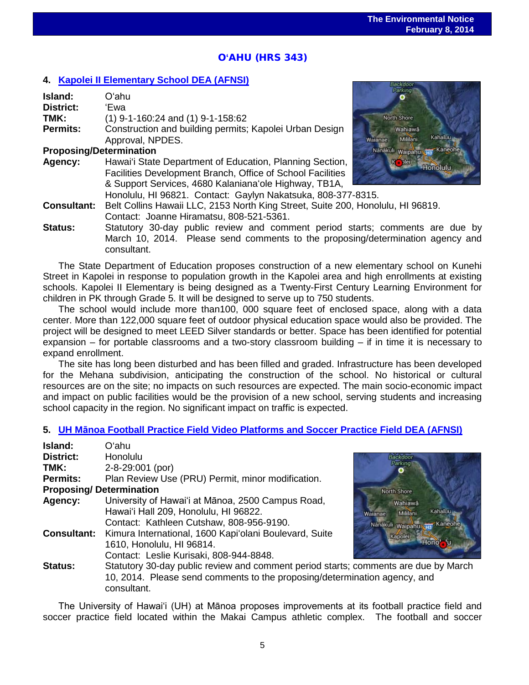# O**'**AHU (HRS 343)

# **4. [Kapolei II Elementary School](http://oeqc.doh.hawaii.gov/Shared%20Documents/EA_and_EIS_Online_Library/Oahu/2010s/2014-02-08-OA-5B-DEA-Kapolei-II-Elementary-School.pdf) DEA (AFNSI)**

| Island:                        | Oʻahu                                                                           | <u>u www.g</u>                   |
|--------------------------------|---------------------------------------------------------------------------------|----------------------------------|
| <b>District:</b>               | 'Ewa                                                                            |                                  |
| TMK:                           | $(1)$ 9-1-160:24 and $(1)$ 9-1-158:62                                           | North Shore                      |
| Permits:                       | Construction and building permits; Kapolei Urban Design                         | Wahiawa                          |
|                                | Approval, NPDES.                                                                | Kahaluu -<br>Mililani<br>Waianae |
| <b>Proposing/Determination</b> |                                                                                 | Nanakuli waipahu na Kaneohe      |
| Agency:                        | Hawai'i State Department of Education, Planning Section,                        | K plei<br>Honolulu               |
|                                | Facilities Development Branch, Office of School Facilities                      |                                  |
|                                | & Support Services, 4680 Kalaniana'ole Highway, TB1A,                           |                                  |
|                                | Honolulu, HI 96821. Contact: Gaylyn Nakatsuka, 808-377-8315.                    |                                  |
| <b>Consultant:</b>             | Belt Collins Hawaii LLC, 2153 North King Street, Suite 200, Honolulu, HI 96819. |                                  |
|                                | Contact: Joanne Hiramatsu, 808-521-5361.                                        |                                  |
| <b>Status:</b>                 | Statutory 30-day public review and comment period starts; comments are due by   |                                  |
|                                | March 10, 2014. Please send comments to the proposing/determination agency and  |                                  |
|                                | consultant.                                                                     |                                  |

The State Department of Education proposes construction of a new elementary school on Kunehi Street in Kapolei in response to population growth in the Kapolei area and high enrollments at existing schools. Kapolei II Elementary is being designed as a Twenty-First Century Learning Environment for children in PK through Grade 5. It will be designed to serve up to 750 students.

The school would include more than100, 000 square feet of enclosed space, along with a data center. More than 122,000 square feet of outdoor physical education space would also be provided. The project will be designed to meet LEED Silver standards or better. Space has been identified for potential expansion – for portable classrooms and a two-story classroom building – if in time it is necessary to expand enrollment.

The site has long been disturbed and has been filled and graded. Infrastructure has been developed for the Mehana subdivision, anticipating the construction of the school. No historical or cultural resources are on the site; no impacts on such resources are expected. The main socio-economic impact and impact on public facilities would be the provision of a new school, serving students and increasing school capacity in the region. No significant impact on traffic is expected.

#### **5. UH Mā[noa Football Practice Field Video Platforms and Soccer Practice Field](http://oeqc.doh.hawaii.gov/Shared%20Documents/EA_and_EIS_Online_Library/Oahu/2010s/2014-02-08-OA-5B-DEA-UH-Manoa-Football-Practice-Field-Video-Platforms-and-Soccer-Practice-Field.pdf) DEA (AFNSI)**

| Island:                        | Oʻahu                                                                                                                                                                           |                                                                          |
|--------------------------------|---------------------------------------------------------------------------------------------------------------------------------------------------------------------------------|--------------------------------------------------------------------------|
| <b>District:</b>               | <b>Honolulu</b>                                                                                                                                                                 |                                                                          |
| TMK:                           | 2-8-29:001 (por)                                                                                                                                                                |                                                                          |
| <b>Permits:</b>                | Plan Review Use (PRU) Permit, minor modification.                                                                                                                               |                                                                          |
| <b>Proposing/Determination</b> |                                                                                                                                                                                 | North Shore                                                              |
| Agency:                        | University of Hawai'i at Mānoa, 2500 Campus Road,<br>Hawai'i Hall 209, Honolulu, HI 96822.<br>Contact: Kathleen Cutshaw, 808-956-9190.                                          | Wahiawā<br>Kahaluu<br>Mililani<br>Waianae<br>Nanakuli waipahu na Kaneohe |
| <b>Consultant:</b>             | Kimura International, 1600 Kapi'olani Boulevard, Suite<br>1610, Honolulu, HI 96814.<br>Contact: Leslie Kurisaki, 808-944-8848.                                                  | Kapolei                                                                  |
| <b>Status:</b>                 | Statutory 30-day public review and comment period starts; comments are due by March<br>10, 2014. Please send comments to the proposing/determination agency, and<br>consultant. |                                                                          |

The University of Hawai'i (UH) at Mānoa proposes improvements at its football practice field and soccer practice field located within the Makai Campus athletic complex. The football and soccer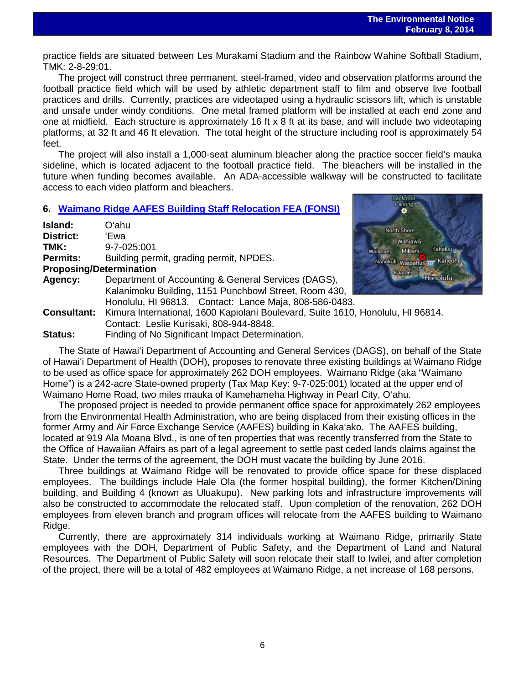practice fields are situated between Les Murakami Stadium and the Rainbow Wahine Softball Stadium, TMK: 2-8-29:01.

The project will construct three permanent, steel-framed, video and observation platforms around the football practice field which will be used by athletic department staff to film and observe live football practices and drills. Currently, practices are videotaped using a hydraulic scissors lift, which is unstable and unsafe under windy conditions. One metal framed platform will be installed at each end zone and one at midfield. Each structure is approximately 16 ft x 8 ft at its base, and will include two videotaping platforms, at 32 ft and 46 ft elevation. The total height of the structure including roof is approximately 54 feet.

The project will also install a 1,000-seat aluminum bleacher along the practice soccer field's mauka sideline, which is located adjacent to the football practice field. The bleachers will be installed in the future when funding becomes available. An ADA-accessible walkway will be constructed to facilitate access to each video platform and bleachers.

# **6. [Waimano Ridge AAFES Building](http://oeqc.doh.hawaii.gov/Shared%20Documents/EA_and_EIS_Online_Library/Oahu/2010s/2014-02-08-OA-5B-FEA-Waimano-Ridge-AAFES-Building.pdf) Staff Relocation FEA (FONSI)**

| Island:                        | Oʻahu                                                                  |  |  |
|--------------------------------|------------------------------------------------------------------------|--|--|
| <b>District:</b>               | 'Ewa                                                                   |  |  |
| TMK:                           | 9-7-025:001                                                            |  |  |
| <b>Permits:</b>                | Building permit, grading permit, NPDES.                                |  |  |
| <b>Proposing/Determination</b> |                                                                        |  |  |
| Agency:                        | Department of Accounting & General Services (DAGS),                    |  |  |
|                                | Kalanimoku Building, 1151 Punchbowl Street, Room 430,                  |  |  |
|                                | Honolulu, HI 96813. Contact: Lance Maja, 808-586-0483.                 |  |  |
|                                | Consultant: Kimura International, 1600 Kapiolani Boulevard, Suite 1610 |  |  |
|                                | Contact: Leslie Kurisaki, 808-944-8848.                                |  |  |



0, Honolulu, HI 96814.

**Status:** Finding of No Significant Impact Determination.

The State of Hawaiʻi Department of Accounting and General Services (DAGS), on behalf of the State of Hawaiʻi Department of Health (DOH), proposes to renovate three existing buildings at Waimano Ridge to be used as office space for approximately 262 DOH employees. Waimano Ridge (aka "Waimano Home") is a 242-acre State-owned property (Tax Map Key: 9-7-025:001) located at the upper end of Waimano Home Road, two miles mauka of Kamehameha Highway in Pearl City, O'ahu.

The proposed project is needed to provide permanent office space for approximately 262 employees from the Environmental Health Administration, who are being displaced from their existing offices in the former Army and Air Force Exchange Service (AAFES) building in Kaka'ako. The AAFES building, located at 919 Ala Moana Blvd., is one of ten properties that was recently transferred from the State to the Office of Hawaiian Affairs as part of a legal agreement to settle past ceded lands claims against the State. Under the terms of the agreement, the DOH must vacate the building by June 2016.

Three buildings at Waimano Ridge will be renovated to provide office space for these displaced employees. The buildings include Hale Ola (the former hospital building), the former Kitchen/Dining building, and Building 4 (known as Uluakupu). New parking lots and infrastructure improvements will also be constructed to accommodate the relocated staff. Upon completion of the renovation, 262 DOH employees from eleven branch and program offices will relocate from the AAFES building to Waimano Ridge.

Currently, there are approximately 314 individuals working at Waimano Ridge, primarily State employees with the DOH, Department of Public Safety, and the Department of Land and Natural Resources. The Department of Public Safety will soon relocate their staff to Iwilei, and after completion of the project, there will be a total of 482 employees at Waimano Ridge, a net increase of 168 persons.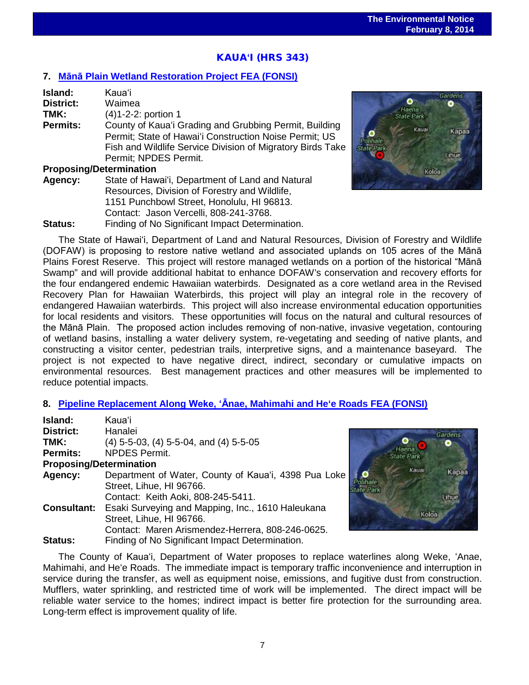# KAUA**ʻ**I (HRS 343)

# **7. Mānā [Plain Wetland Restoration Project FEA \(FONSI\)](http://oeqc.doh.hawaii.gov/Shared%20Documents/EA_and_EIS_Online_Library/Kauai/2010s/2014-02-08-KA-5B-FEA-Mana-Plain-Wetland-Restoration-Project.pdf)**

| Island:                        | Kaua'i                                                     |
|--------------------------------|------------------------------------------------------------|
| <b>District:</b>               | Waimea                                                     |
| TMK:                           | (4) 1-2-2: portion 1                                       |
| <b>Permits:</b>                | County of Kaua'i Grading and Grubbing Permit, Building     |
|                                | Permit; State of Hawai'i Construction Noise Permit; US     |
|                                | Fish and Wildlife Service Division of Migratory Birds Take |
|                                | Permit; NPDES Permit.                                      |
| <b>Proposing/Determination</b> |                                                            |
| Agency:                        | State of Hawai'i, Department of Land and Natural           |
|                                | Resources, Division of Forestry and Wildlife,              |

1151 Punchbowl Street, Honolulu, HI 96813. Contact: Jason Vercelli, 808-241-3768. **Status:** Finding of No Significant Impact Determination.



apaa

The State of Hawaiʻi, Department of Land and Natural Resources, Division of Forestry and Wildlife (DOFAW) is proposing to restore native wetland and associated uplands on 105 acres of the Mānā Plains Forest Reserve. This project will restore managed wetlands on a portion of the historical "Mānā Swamp" and will provide additional habitat to enhance DOFAW's conservation and recovery efforts for the four endangered endemic Hawaiian waterbirds. Designated as a core wetland area in the Revised Recovery Plan for Hawaiian Waterbirds, this project will play an integral role in the recovery of endangered Hawaiian waterbirds. This project will also increase environmental education opportunities for local residents and visitors. These opportunities will focus on the natural and cultural resources of the Mānā Plain. The proposed action includes removing of non-native, invasive vegetation, contouring of wetland basins, installing a water delivery system, re-vegetating and seeding of native plants, and constructing a visitor center, pedestrian trails, interpretive signs, and a maintenance baseyard. The project is not expected to have negative direct, indirect, secondary or cumulative impacts on environmental resources. Best management practices and other measures will be implemented to reduce potential impacts.

# **8. Pipeline Replacement Along Weke, ʻĀ[nae, Mahimahi and He'e Roads FEA \(FONSI\)](http://oeqc.doh.hawaii.gov/Shared%20Documents/EA_and_EIS_Online_Library/Kauai/2010s/2014-02-08-KA-5B-FEA-Pipeline-Replacement-Along-Weke-Anae-Mahimahi-and-Hee-Roads.pdf)**

| Island:                        | <b>Kaua</b> 'i                                                |
|--------------------------------|---------------------------------------------------------------|
| <b>District:</b>               | Hanalei<br>Gan                                                |
| TMK:                           | $(4)$ 5-5-03, $(4)$ 5-5-04, and $(4)$ 5-5-05                  |
| Permits:                       | Haena<br><b>NPDES Permit.</b><br><b>State Park</b>            |
| <b>Proposing/Determination</b> |                                                               |
| Agency:                        | Kauai<br>Department of Water, County of Kaua'i, 4398 Pua Loke |
|                                | Street, Lihue, HI 96766.<br>State Park                        |
|                                | Contact: Keith Aoki, 808-245-5411.<br>m                       |
| <b>Consultant:</b>             | Esaki Surveying and Mapping, Inc., 1610 Haleukana             |
|                                | Koloa<br>Street, Lihue, HI 96766.                             |
|                                | Contact: Maren Arismendez-Herrera, 808-246-0625.              |
| <b>Status:</b>                 | Finding of No Significant Impact Determination.               |

The County of Kauaʻi, Department of Water proposes to replace waterlines along Weke, ʻAnae, Mahimahi, and Heʻe Roads. The immediate impact is temporary traffic inconvenience and interruption in service during the transfer, as well as equipment noise, emissions, and fugitive dust from construction. Mufflers, water sprinkling, and restricted time of work will be implemented. The direct impact will be reliable water service to the homes; indirect impact is better fire protection for the surrounding area. Long-term effect is improvement quality of life.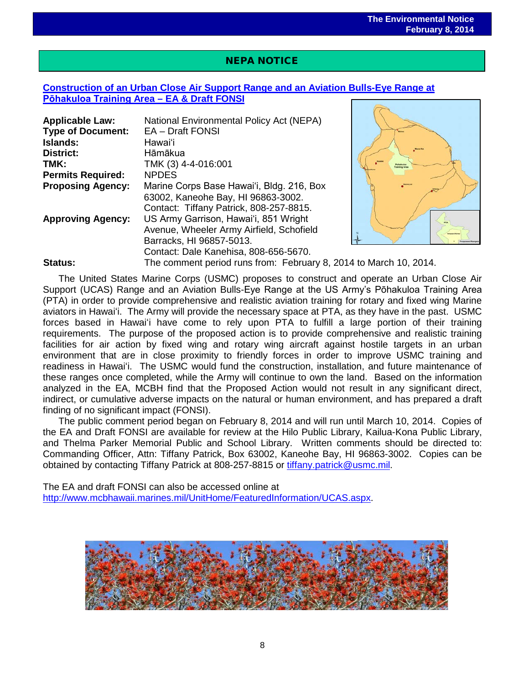# NEPA NOTICE

 $\overline{a}$ 

# **[Construction of an Urban Close Air Support Range and](http://www.mcbhawaii.marines.mil/UnitHome/FeaturedInformation/UCAS.aspx) an Aviation Bulls-Eye Range at [Pōhakuloa Training](http://www.mcbhawaii.marines.mil/UnitHome/FeaturedInformation/UCAS.aspx) Area – EA & Draft FONSI**

| <b>Applicable Law:</b>   | National Environmental Policy Act (NEPA)                          |                      |
|--------------------------|-------------------------------------------------------------------|----------------------|
| <b>Type of Document:</b> | EA - Draft FONSI                                                  |                      |
| Islands:                 | Hawaiʻi                                                           |                      |
| <b>District:</b>         | Hāmākua                                                           |                      |
| TMK:                     | TMK (3) 4-4-016:001                                               | <b>Iraining Area</b> |
| <b>Permits Required:</b> | <b>NPDES</b>                                                      |                      |
| <b>Proposing Agency:</b> | Marine Corps Base Hawai'i, Bldg. 216, Box                         |                      |
|                          | 63002, Kaneohe Bay, HI 96863-3002.                                |                      |
|                          | Contact: Tiffany Patrick, 808-257-8815.                           |                      |
| <b>Approving Agency:</b> | US Army Garrison, Hawai'i, 851 Wright                             |                      |
|                          | Avenue, Wheeler Army Airfield, Schofield                          |                      |
|                          | Barracks, HI 96857-5013.                                          |                      |
|                          | Contact: Dale Kanehisa, 808-656-5670.                             |                      |
| <b>Status:</b>           | The comment period runs from: February 8, 2014 to March 10, 2014. |                      |



The United States Marine Corps (USMC) proposes to construct and operate an Urban Close Air Support (UCAS) Range and an Aviation Bulls-Eye Range at the US Army's Pōhakuloa Training Area (PTA) in order to provide comprehensive and realistic aviation training for rotary and fixed wing Marine aviators in Hawaiʻi. The Army will provide the necessary space at PTA, as they have in the past. USMC forces based in Hawaiʻi have come to rely upon PTA to fulfill a large portion of their training requirements. The purpose of the proposed action is to provide comprehensive and realistic training facilities for air action by fixed wing and rotary wing aircraft against hostile targets in an urban environment that are in close proximity to friendly forces in order to improve USMC training and readiness in Hawaiʻi. The USMC would fund the construction, installation, and future maintenance of these ranges once completed, while the Army will continue to own the land. Based on the information analyzed in the EA, MCBH find that the Proposed Action would not result in any significant direct, indirect, or cumulative adverse impacts on the natural or human environment, and has prepared a draft finding of no significant impact (FONSI).

The public comment period began on February 8, 2014 and will run until March 10, 2014. Copies of the EA and Draft FONSI are available for review at the Hilo Public Library, Kailua-Kona Public Library, and Thelma Parker Memorial Public and School Library. Written comments should be directed to: Commanding Officer, Attn: Tiffany Patrick, Box 63002, Kaneohe Bay, HI 96863-3002. Copies can be obtained by contacting Tiffany Patrick at 808-257-8815 or [tiffany.patrick@usmc.mil.](mailto:tiffany.patrick@usmc.mil)

The EA and draft FONSI can also be accessed online at [http://www.mcbhawaii.marines.mil/UnitHome/FeaturedInformation/UCAS.aspx.](http://www.mcbhawaii.marines.mil/UnitHome/FeaturedInformation/UCAS.aspx)

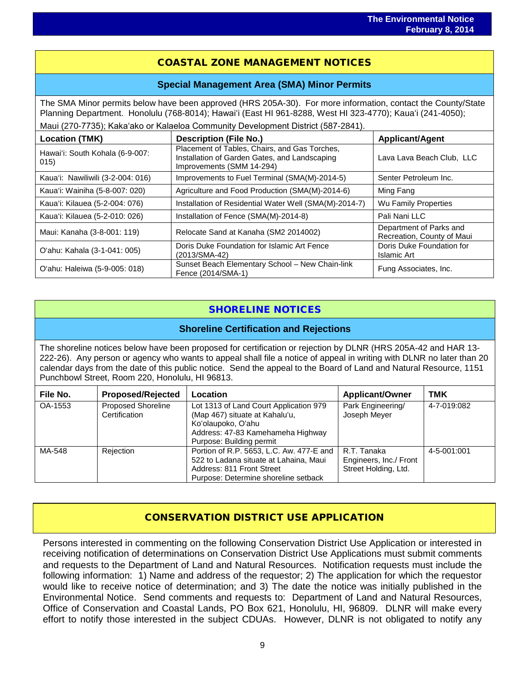# COASTAL ZONE MANAGEMENT NOTICES

## **Special Management Area (SMA) Minor Permits**

The SMA Minor permits below have been approved (HRS 205A-30). For more information, contact the County/State Planning Department. Honolulu (768-8014); Hawaiʻi (East HI 961-8288, West HI 323-4770); Kauaʻi (241-4050);

Maui (270-7735); Kakaʻako or Kalaeloa Community Development District (587-2841).

| <b>Location (TMK)</b>                   | <b>Description (File No.)</b>                                                                                               | <b>Applicant/Agent</b>                                |
|-----------------------------------------|-----------------------------------------------------------------------------------------------------------------------------|-------------------------------------------------------|
| Hawai'i: South Kohala (6-9-007:<br>015) | Placement of Tables, Chairs, and Gas Torches,<br>Installation of Garden Gates, and Landscaping<br>Improvements (SMM 14-294) | Lava Lava Beach Club, LLC                             |
| Kaua'i: Nawiliwili (3-2-004: 016)       | Improvements to Fuel Terminal (SMA(M)-2014-5)                                                                               | Senter Petroleum Inc.                                 |
| Kaua'i: Wainiha (5-8-007: 020)          | Agriculture and Food Production (SMA(M)-2014-6)                                                                             | Ming Fang                                             |
| Kaua'i: Kilauea (5-2-004: 076)          | Installation of Residential Water Well (SMA(M)-2014-7)                                                                      | Wu Family Properties                                  |
| Kaua'i: Kilauea (5-2-010: 026)          | Installation of Fence (SMA(M)-2014-8)                                                                                       | Pali Nani LLC                                         |
| Maui: Kanaha (3-8-001: 119)             | Relocate Sand at Kanaha (SM2 2014002)                                                                                       | Department of Parks and<br>Recreation, County of Maui |
| O'ahu: Kahala (3-1-041: 005)            | Doris Duke Foundation for Islamic Art Fence<br>(2013/SMA-42)                                                                | Doris Duke Foundation for<br>Islamic Art              |
| O'ahu: Haleiwa (5-9-005: 018)           | Sunset Beach Elementary School - New Chain-link<br>Fence (2014/SMA-1)                                                       | Fung Associates, Inc.                                 |

# SHORELINE NOTICES

## **Shoreline Certification and Rejections**

The shoreline notices below have been proposed for certification or rejection by DLNR (HRS 205A-42 and HAR 13- 222-26). Any person or agency who wants to appeal shall file a notice of appeal in writing with DLNR no later than 20 calendar days from the date of this public notice. Send the appeal to the Board of Land and Natural Resource, 1151 Punchbowl Street, Room 220, Honolulu, HI 96813.

| File No. | <b>Proposed/Rejected</b>                   | Location                                                                                                                                                        | <b>Applicant/Owner</b>                                        | TMK         |
|----------|--------------------------------------------|-----------------------------------------------------------------------------------------------------------------------------------------------------------------|---------------------------------------------------------------|-------------|
| OA-1553  | <b>Proposed Shoreline</b><br>Certification | Lot 1313 of Land Court Application 979<br>(Map 467) situate at Kahalu'u,<br>Koʻolaupoko, Oʻahu<br>Address: 47-83 Kamehameha Highway<br>Purpose: Building permit | Park Engineering/<br>Joseph Meyer                             | 4-7-019:082 |
| MA-548   | Rejection                                  | Portion of R.P. 5653, L.C. Aw. 477-E and<br>522 to Ladana situate at Lahaina, Maui<br>Address: 811 Front Street<br>Purpose: Determine shoreline setback         | R.T. Tanaka<br>Engineers, Inc./ Front<br>Street Holding, Ltd. | 4-5-001:001 |

# CONSERVATION DISTRICT USE APPLICATION

Persons interested in commenting on the following Conservation District Use Application or interested in receiving notification of determinations on Conservation District Use Applications must submit comments and requests to the Department of Land and Natural Resources. Notification requests must include the following information: 1) Name and address of the requestor; 2) The application for which the requestor would like to receive notice of determination; and 3) The date the notice was initially published in the Environmental Notice. Send comments and requests to: Department of Land and Natural Resources, Office of Conservation and Coastal Lands, PO Box 621, Honolulu, HI, 96809. DLNR will make every effort to notify those interested in the subject CDUAs. However, DLNR is not obligated to notify any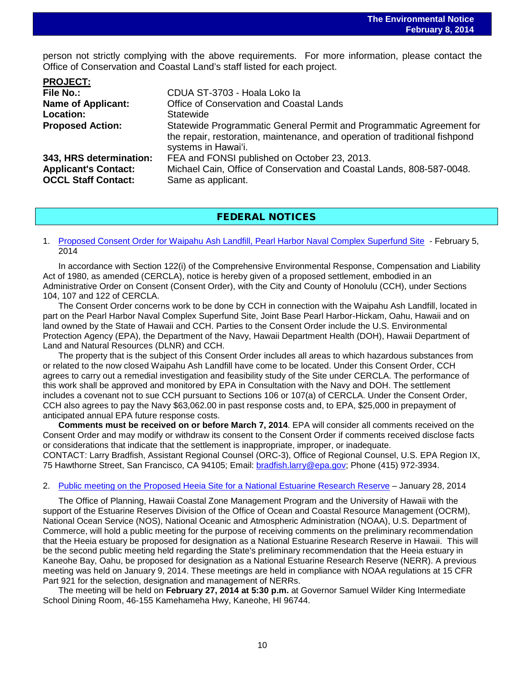person not strictly complying with the above requirements. For more information, please contact the Office of Conservation and Coastal Land's staff listed for each project.

| CDUA ST-3703 - Hoala Loko la                                                                                                                                               |
|----------------------------------------------------------------------------------------------------------------------------------------------------------------------------|
| Office of Conservation and Coastal Lands                                                                                                                                   |
| Statewide                                                                                                                                                                  |
| Statewide Programmatic General Permit and Programmatic Agreement for<br>the repair, restoration, maintenance, and operation of traditional fishpond<br>systems in Hawai'i. |
| FEA and FONSI published on October 23, 2013.                                                                                                                               |
| Michael Cain, Office of Conservation and Coastal Lands, 808-587-0048.<br>Same as applicant.                                                                                |
|                                                                                                                                                                            |

# FEDERAL NOTICES

#### 1. [Proposed Consent Order for Waipahu Ash Landfill, Pearl Harbor Naval Complex Superfund Site](http://www.gpo.gov/fdsys/pkg/FR-2014-02-05/pdf/2014-02475.pdf) - February 5, 2014

In accordance with Section 122(i) of the Comprehensive Environmental Response, Compensation and Liability Act of 1980, as amended (CERCLA), notice is hereby given of a proposed settlement, embodied in an Administrative Order on Consent (Consent Order), with the City and County of Honolulu (CCH), under Sections 104, 107 and 122 of CERCLA.

The Consent Order concerns work to be done by CCH in connection with the Waipahu Ash Landfill, located in part on the Pearl Harbor Naval Complex Superfund Site, Joint Base Pearl Harbor-Hickam, Oahu, Hawaii and on land owned by the State of Hawaii and CCH. Parties to the Consent Order include the U.S. Environmental Protection Agency (EPA), the Department of the Navy, Hawaii Department Health (DOH), Hawaii Department of Land and Natural Resources (DLNR) and CCH.

The property that is the subject of this Consent Order includes all areas to which hazardous substances from or related to the now closed Waipahu Ash Landfill have come to be located. Under this Consent Order, CCH agrees to carry out a remedial investigation and feasibility study of the Site under CERCLA. The performance of this work shall be approved and monitored by EPA in Consultation with the Navy and DOH. The settlement includes a covenant not to sue CCH pursuant to Sections 106 or 107(a) of CERCLA. Under the Consent Order, CCH also agrees to pay the Navy \$63,062.00 in past response costs and, to EPA, \$25,000 in prepayment of anticipated annual EPA future response costs.

**Comments must be received on or before March 7, 2014**. EPA will consider all comments received on the Consent Order and may modify or withdraw its consent to the Consent Order if comments received disclose facts or considerations that indicate that the settlement is inappropriate, improper, or inadequate. CONTACT: Larry Bradfish, Assistant Regional Counsel (ORC-3), Office of Regional Counsel, U.S. EPA Region IX, 75 Hawthorne Street, San Francisco, CA 94105; Email: [bradfish.larry@epa.gov;](mailto:bradfish.larry@epa.gov) Phone (415) 972-3934.

#### 2. [Public meeting on the Proposed Heeia Site for a National Estuarine Research Reserve](http://www.gpo.gov/fdsys/pkg/FR-2014-01-28/pdf/2014-01578.pdf) – January 28, 2014

The Office of Planning, Hawaii Coastal Zone Management Program and the University of Hawaii with the support of the Estuarine Reserves Division of the Office of Ocean and Coastal Resource Management (OCRM), National Ocean Service (NOS), National Oceanic and Atmospheric Administration (NOAA), U.S. Department of Commerce, will hold a public meeting for the purpose of receiving comments on the preliminary recommendation that the Heeia estuary be proposed for designation as a National Estuarine Research Reserve in Hawaii. This will be the second public meeting held regarding the State's preliminary recommendation that the Heeia estuary in Kaneohe Bay, Oahu, be proposed for designation as a National Estuarine Research Reserve (NERR). A previous meeting was held on January 9, 2014. These meetings are held in compliance with NOAA regulations at 15 CFR Part 921 for the selection, designation and management of NERRs.

The meeting will be held on **February 27, 2014 at 5:30 p.m.** at Governor Samuel Wilder King Intermediate School Dining Room, 46-155 Kamehameha Hwy, Kaneohe, HI 96744.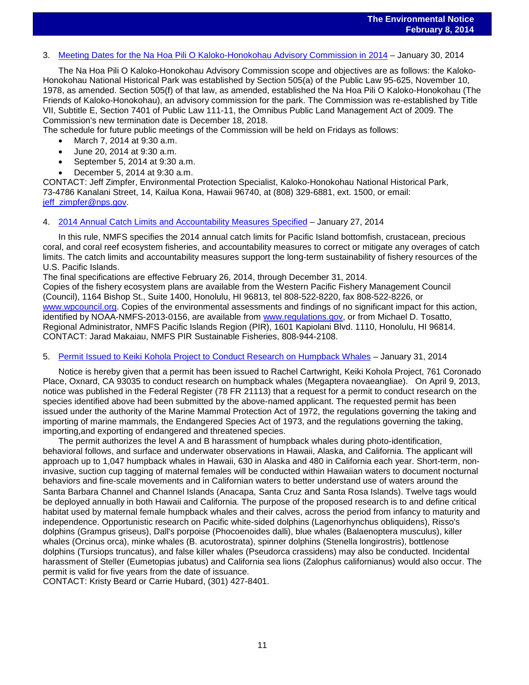# 3. [Meeting Dates for the Na Hoa Pili O Kaloko-Honokohau Advisory Commission in 2014](http://www.gpo.gov/fdsys/pkg/FR-2014-01-28/pdf/2014-01578.pdf) – January 30, 2014

The Na Hoa Pili O Kaloko-Honokohau Advisory Commission scope and objectives are as follows: the Kaloko-Honokohau National Historical Park was established by Section 505(a) of the Public Law 95-625, November 10, 1978, as amended. Section 505(f) of that law, as amended, established the Na Hoa Pili O Kaloko-Honokohau (The Friends of Kaloko-Honokohau), an advisory commission for the park. The Commission was re-established by Title VII, Subtitle E, Section 7401 of Public Law 111-11, the Omnibus Public Land Management Act of 2009. The Commission's new termination date is December 18, 2018.

The schedule for future public meetings of the Commission will be held on Fridays as follows:

- March 7, 2014 at 9:30 a.m.
- June 20, 2014 at 9:30 a.m.
- September 5, 2014 at 9:30 a.m.
- December 5, 2014 at 9:30 a.m.

CONTACT: Jeff Zimpfer, Environmental Protection Specialist, Kaloko-Honokohau National Historical Park, 73-4786 Kanalani Street, 14, Kailua Kona, Hawaii 96740, at (808) 329-6881, ext. 1500, or email: [jeff\\_zimpfer@nps.gov.](mailto:jeff_zimpfer@nps.gov)

#### 4. [2014 Annual Catch Limits and Accountability Measures Specified](http://www.gpo.gov/fdsys/pkg/FR-2014-01-27/pdf/2014-01508.pdf) – January 27, 2014

In this rule, NMFS specifies the 2014 annual catch limits for Pacific Island bottomfish, crustacean, precious coral, and coral reef ecosystem fisheries, and accountability measures to correct or mitigate any overages of catch limits. The catch limits and accountability measures support the long-term sustainability of fishery resources of the U.S. Pacific Islands.

The final specifications are effective February 26, 2014, through December 31, 2014.

Copies of the fishery ecosystem plans are available from the Western Pacific Fishery Management Council (Council), 1164 Bishop St., Suite 1400, Honolulu, HI 96813, tel 808-522-8220, fax 808-522-8226, or [www.wpcouncil.org.](http://www.wpcouncil.org/) Copies of the environmental assessments and findings of no significant impact for this action, identified by NOAA-NMFS-2013-0156, are available from [www.regulations.gov,](http://www.regulations.gov/) or from Michael D. Tosatto, Regional Administrator, NMFS Pacific Islands Region (PIR), 1601 Kapiolani Blvd. 1110, Honolulu, HI 96814. CONTACT: Jarad Makaiau, NMFS PIR Sustainable Fisheries, 808-944-2108.

#### 5. [Permit Issued to Keiki Kohola Project to Conduct Research on Humpback Whales](http://www.gpo.gov/fdsys/pkg/FR-2014-01-31/pdf/2014-01906.pdf) – January 31, 2014

Notice is hereby given that a permit has been issued to Rachel Cartwright, Keiki Kohola Project, 761 Coronado Place, Oxnard, CA 93035 to conduct research on humpback whales (Megaptera novaeangliae). On April 9, 2013, notice was published in the Federal Register (78 FR 21113) that a request for a permit to conduct research on the species identified above had been submitted by the above-named applicant. The requested permit has been issued under the authority of the Marine Mammal Protection Act of 1972, the regulations governing the taking and importing of marine mammals, the Endangered Species Act of 1973, and the regulations governing the taking, importing,and exporting of endangered and threatened species.

The permit authorizes the level A and B harassment of humpback whales during photo-identification, behavioral follows, and surface and underwater observations in Hawaii, Alaska, and California. The applicant will approach up to 1,047 humpback whales in Hawaii, 630 in Alaska and 480 in California each year. Short-term, noninvasive, suction cup tagging of maternal females will be conducted within Hawaiian waters to document nocturnal behaviors and fine-scale movements and in Californian waters to better understand use of waters around the Santa Barbara Channel and Channel Islands (Anacapa, Santa Cruz and Santa Rosa Islands). Twelve tags would be deployed annually in both Hawaii and California. The purpose of the proposed research is to and define critical habitat used by maternal female humpback whales and their calves, across the period from infancy to maturity and independence. Opportunistic research on Pacific white-sided dolphins (Lagenorhynchus obliquidens), Risso's dolphins (Grampus griseus), Dall's porpoise (Phocoenoides dalli), blue whales (Balaenoptera musculus), killer whales (Orcinus orca), minke whales (B. acutorostrata), spinner dolphins (Stenella longirostris), bottlenose dolphins (Tursiops truncatus), and false killer whales (Pseudorca crassidens) may also be conducted. Incidental harassment of Steller (Eumetopias jubatus) and California sea lions (Zalophus californianus) would also occur. The permit is valid for five years from the date of issuance.

CONTACT: Kristy Beard or Carrie Hubard, (301) 427-8401.